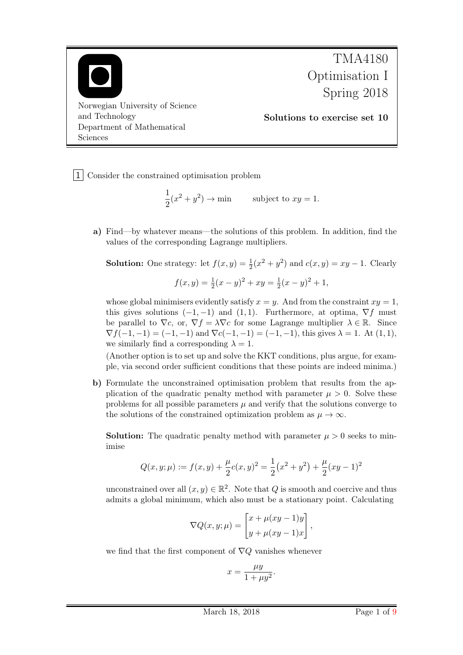

1 Consider the constrained optimisation problem

$$
\frac{1}{2}(x^2 + y^2) \to \min \qquad \text{subject to } xy = 1.
$$

a) Find—by whatever means—the solutions of this problem. In addition, find the values of the corresponding Lagrange multipliers.

**Solution:** One strategy: let  $f(x, y) = \frac{1}{2}(x^2 + y^2)$  and  $c(x, y) = xy - 1$ . Clearly  $f(x, y) = \frac{1}{2}(x - y)^2 + xy = \frac{1}{2}$  $\frac{1}{2}(x-y)^2+1,$ 

whose global minimisers evidently satisfy  $x = y$ . And from the constraint  $xy = 1$ , this gives solutions  $(-1, -1)$  and  $(1, 1)$ . Furthermore, at optima,  $\nabla f$  must be parallel to  $\nabla c$ , or,  $\nabla f = \lambda \nabla c$  for some Lagrange multiplier  $\lambda \in \mathbb{R}$ . Since  $\nabla f(-1,-1) = (-1,-1)$  and  $\nabla c(-1,-1) = (-1,-1)$ , this gives  $\lambda = 1$ . At  $(1,1)$ , we similarly find a corresponding  $\lambda = 1$ .

(Another option is to set up and solve the KKT conditions, plus argue, for example, via second order sufficient conditions that these points are indeed minima.)

b) Formulate the unconstrained optimisation problem that results from the application of the quadratic penalty method with parameter  $\mu > 0$ . Solve these problems for all possible parameters  $\mu$  and verify that the solutions converge to the solutions of the constrained optimization problem as  $\mu \to \infty$ .

**Solution:** The quadratic penalty method with parameter  $\mu > 0$  seeks to minimise

$$
Q(x, y; \mu) := f(x, y) + \frac{\mu}{2}c(x, y)^2 = \frac{1}{2}(x^2 + y^2) + \frac{\mu}{2}(xy - 1)^2
$$

unconstrained over all  $(x, y) \in \mathbb{R}^2$ . Note that Q is smooth and coercive and thus admits a global minimum, which also must be a stationary point. Calculating

$$
\nabla Q(x, y; \mu) = \begin{bmatrix} x + \mu(xy - 1)y \\ y + \mu(xy - 1)x \end{bmatrix},
$$

we find that the first component of  $\nabla Q$  vanishes whenever

$$
x = \frac{\mu y}{1 + \mu y^2}.
$$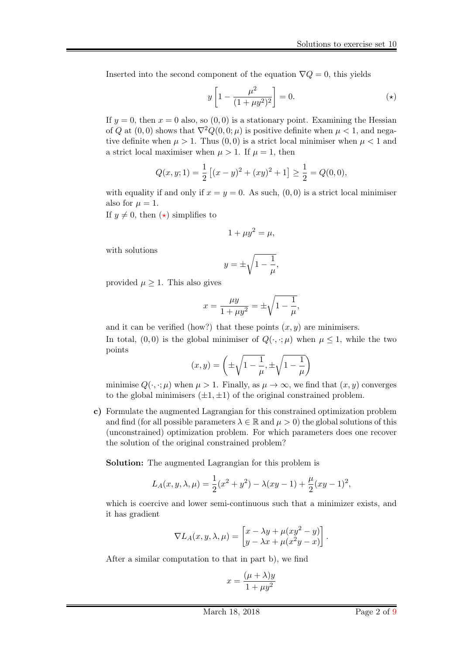Inserted into the second component of the equation  $\nabla Q = 0$ , this yields

<span id="page-1-1"></span><span id="page-1-0"></span>
$$
y\left[1 - \frac{\mu^2}{(1 + \mu y^2)^2}\right] = 0.\tag{(*)}
$$

If  $y = 0$ , then  $x = 0$  also, so  $(0, 0)$  is a stationary point. Examining the Hessian of Q at  $(0,0)$  shows that  $\nabla^2 Q(0,0;\mu)$  is positive definite when  $\mu < 1$ , and negative definite when  $\mu > 1$ . Thus  $(0, 0)$  is a strict local minimiser when  $\mu < 1$  and a strict local maximiser when  $\mu > 1$ . If  $\mu = 1$ , then

$$
Q(x, y; 1) = \frac{1}{2} [(x - y)^2 + (xy)^2 + 1] \ge \frac{1}{2} = Q(0, 0),
$$

with equality if and only if  $x = y = 0$ . As such,  $(0, 0)$  is a strict local minimiser also for  $\mu = 1$ .

If  $y \neq 0$ , then  $(\star)$  simplifies to

$$
1 + \mu y^2 = \mu,
$$

with solutions

$$
y = \pm \sqrt{1 - \frac{1}{\mu}},
$$

provided  $\mu \geq 1$ . This also gives

$$
x = \frac{\mu y}{1 + \mu y^2} = \pm \sqrt{1 - \frac{1}{\mu}},
$$

and it can be verified (how?) that these points  $(x, y)$  are minimisers. In total,  $(0, 0)$  is the global minimiser of  $Q(\cdot, \cdot; \mu)$  when  $\mu \leq 1$ , while the two points

$$
(x,y) = \left(\pm\sqrt{1-\frac{1}{\mu}}, \pm\sqrt{1-\frac{1}{\mu}}\right)
$$

minimise  $Q(\cdot, \cdot; \mu)$  when  $\mu > 1$ . Finally, as  $\mu \to \infty$ , we find that  $(x, y)$  converges to the global minimisers  $(\pm 1, \pm 1)$  of the original constrained problem.

c) Formulate the augmented Lagrangian for this constrained optimization problem and find (for all possible parameters  $\lambda \in \mathbb{R}$  and  $\mu > 0$ ) the global solutions of this (unconstrained) optimization problem. For which parameters does one recover the solution of the original constrained problem?

Solution: The augmented Lagrangian for this problem is

$$
L_A(x, y, \lambda, \mu) = \frac{1}{2}(x^2 + y^2) - \lambda(xy - 1) + \frac{\mu}{2}(xy - 1)^2,
$$

which is coercive and lower semi-continuous such that a minimizer exists, and it has gradient

$$
\nabla L_A(x, y, \lambda, \mu) = \begin{bmatrix} x - \lambda y + \mu (xy^2 - y) \\ y - \lambda x + \mu (x^2 y - x) \end{bmatrix}.
$$

After a similar computation to that in part b), we find

$$
x = \frac{(\mu + \lambda)y}{1 + \mu y^2}
$$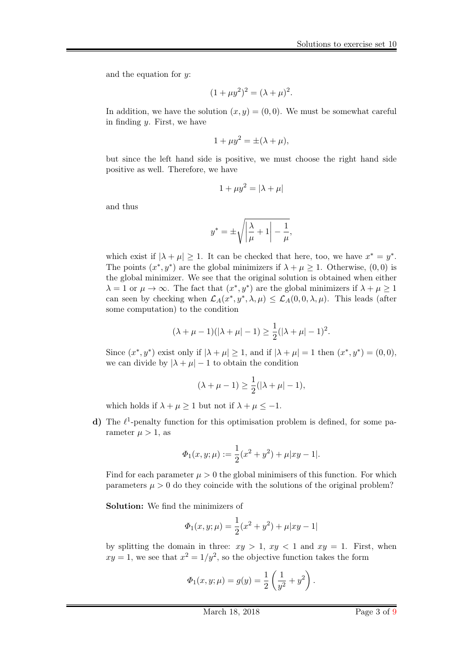and the equation for  $y$ :

$$
(1 + \mu y^2)^2 = (\lambda + \mu)^2.
$$

In addition, we have the solution  $(x, y) = (0, 0)$ . We must be somewhat careful in finding  $y$ . First, we have

$$
1 + \mu y^2 = \pm (\lambda + \mu),
$$

but since the left hand side is positive, we must choose the right hand side positive as well. Therefore, we have

$$
1 + \mu y^2 = |\lambda + \mu|
$$

and thus

$$
y^* = \pm \sqrt{\left|\frac{\lambda}{\mu} + 1\right| - \frac{1}{\mu}},
$$

which exist if  $|\lambda + \mu| \ge 1$ . It can be checked that here, too, we have  $x^* = y^*$ . The points  $(x^*, y^*)$  are the global minimizers if  $\lambda + \mu \geq 1$ . Otherwise,  $(0, 0)$  is the global minimizer. We see that the original solution is obtained when either  $\lambda = 1$  or  $\mu \to \infty$ . The fact that  $(x^*, y^*)$  are the global minimizers if  $\lambda + \mu \ge 1$ can seen by checking when  $\mathcal{L}_A(x^*, y^*, \lambda, \mu) \leq \mathcal{L}_A(0, 0, \lambda, \mu)$ . This leads (after some computation) to the condition

$$
(\lambda + \mu - 1)(|\lambda + \mu| - 1) \ge \frac{1}{2}(|\lambda + \mu| - 1)^2.
$$

Since  $(x^*, y^*)$  exist only if  $|\lambda + \mu| \ge 1$ , and if  $|\lambda + \mu| = 1$  then  $(x^*, y^*) = (0, 0)$ , we can divide by  $|\lambda + \mu| - 1$  to obtain the condition

$$
(\lambda + \mu - 1) \ge \frac{1}{2}(|\lambda + \mu| - 1),
$$

which holds if  $\lambda + \mu \ge 1$  but not if  $\lambda + \mu \le -1$ .

d) The  $\ell^1$ -penalty function for this optimisation problem is defined, for some parameter  $\mu > 1$ , as

$$
\Phi_1(x, y; \mu) := \frac{1}{2}(x^2 + y^2) + \mu |xy - 1|.
$$

Find for each parameter  $\mu > 0$  the global minimisers of this function. For which parameters  $\mu > 0$  do they coincide with the solutions of the original problem?

Solution: We find the minimizers of

$$
\Phi_1(x, y; \mu) = \frac{1}{2}(x^2 + y^2) + \mu |xy - 1|
$$

by splitting the domain in three:  $xy > 1$ ,  $xy < 1$  and  $xy = 1$ . First, when  $xy = 1$ , we see that  $x^2 = 1/y^2$ , so the objective function takes the form

$$
\Phi_1(x, y; \mu) = g(y) = \frac{1}{2} \left( \frac{1}{y^2} + y^2 \right).
$$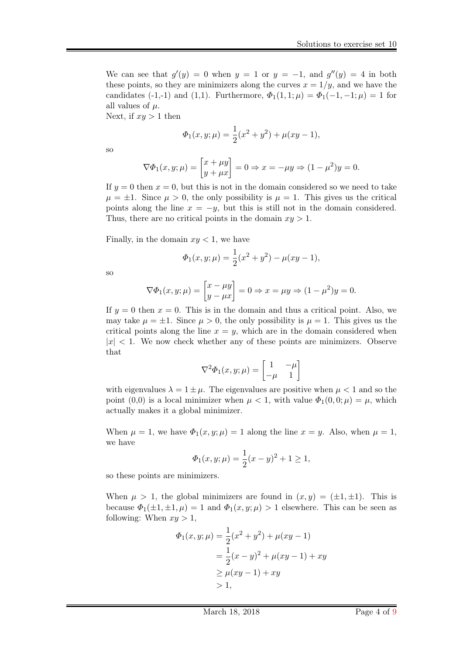We can see that  $g'(y) = 0$  when  $y = 1$  or  $y = -1$ , and  $g''(y) = 4$  in both these points, so they are minimizers along the curves  $x = 1/y$ , and we have the candidates (-1,-1) and (1,1). Furthermore,  $\Phi_1(1,1;\mu) = \Phi_1(-1,-1;\mu) = 1$  for all values of  $\mu$ .

Next, if  $xy > 1$  then

$$
\Phi_1(x, y; \mu) = \frac{1}{2}(x^2 + y^2) + \mu(xy - 1),
$$

so

$$
\nabla \Phi_1(x, y; \mu) = \begin{bmatrix} x + \mu y \\ y + \mu x \end{bmatrix} = 0 \Rightarrow x = -\mu y \Rightarrow (1 - \mu^2)y = 0.
$$

If  $y = 0$  then  $x = 0$ , but this is not in the domain considered so we need to take  $\mu = \pm 1$ . Since  $\mu > 0$ , the only possibility is  $\mu = 1$ . This gives us the critical points along the line  $x = -y$ , but this is still not in the domain considered. Thus, there are no critical points in the domain  $xy > 1$ .

Finally, in the domain  $xy < 1$ , we have

$$
\Phi_1(x, y; \mu) = \frac{1}{2}(x^2 + y^2) - \mu(xy - 1),
$$

so

$$
\nabla \Phi_1(x, y; \mu) = \begin{bmatrix} x - \mu y \\ y - \mu x \end{bmatrix} = 0 \Rightarrow x = \mu y \Rightarrow (1 - \mu^2) y = 0.
$$

If  $y = 0$  then  $x = 0$ . This is in the domain and thus a critical point. Also, we may take  $\mu = \pm 1$ . Since  $\mu > 0$ , the only possibility is  $\mu = 1$ . This gives us the critical points along the line  $x = y$ , which are in the domain considered when  $|x| < 1$ . We now check whether any of these points are minimizers. Observe that

$$
\nabla^2 \varPhi_1(x,y;\mu) = \begin{bmatrix} 1 & -\mu \\ -\mu & 1 \end{bmatrix}
$$

with eigenvalues  $\lambda = 1 \pm \mu$ . The eigenvalues are positive when  $\mu < 1$  and so the point (0,0) is a local minimizer when  $\mu < 1$ , with value  $\Phi_1(0,0;\mu) = \mu$ , which actually makes it a global minimizer.

When  $\mu = 1$ , we have  $\Phi_1(x, y; \mu) = 1$  along the line  $x = y$ . Also, when  $\mu = 1$ , we have

$$
\Phi_1(x, y; \mu) = \frac{1}{2}(x - y)^2 + 1 \ge 1,
$$

so these points are minimizers.

When  $\mu > 1$ , the global minimizers are found in  $(x, y) = (\pm 1, \pm 1)$ . This is because  $\Phi_1(\pm 1, \pm 1, \mu) = 1$  and  $\Phi_1(x, y; \mu) > 1$  elsewhere. This can be seen as following: When  $xy > 1$ ,

$$
\Phi_1(x, y; \mu) = \frac{1}{2}(x^2 + y^2) + \mu(xy - 1)
$$
  
=  $\frac{1}{2}(x - y)^2 + \mu(xy - 1) + xy$   
 $\ge \mu(xy - 1) + xy$   
> 1,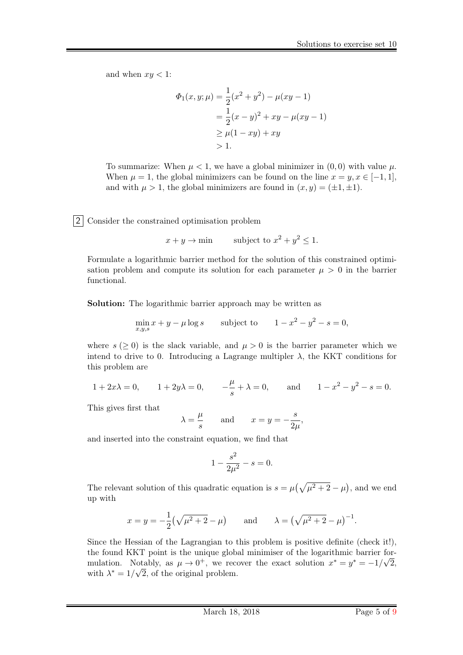and when  $xy < 1$ :

$$
\Phi_1(x, y; \mu) = \frac{1}{2}(x^2 + y^2) - \mu(xy - 1)
$$
  
=  $\frac{1}{2}(x - y)^2 + xy - \mu(xy - 1)$   
 $\ge \mu(1 - xy) + xy$   
> 1.

To summarize: When  $\mu < 1$ , we have a global minimizer in  $(0, 0)$  with value  $\mu$ . When  $\mu = 1$ , the global minimizers can be found on the line  $x = y, x \in [-1, 1]$ , and with  $\mu > 1$ , the global minimizers are found in  $(x, y) = (\pm 1, \pm 1)$ .

2 Consider the constrained optimisation problem

 $x + y \rightarrow \text{min}$  subject to  $x^2 + y^2 \leq 1$ .

Formulate a logarithmic barrier method for the solution of this constrained optimisation problem and compute its solution for each parameter  $\mu > 0$  in the barrier functional.

Solution: The logarithmic barrier approach may be written as

$$
\min_{x,y,s} x + y - \mu \log s \qquad \text{subject to} \qquad 1 - x^2 - y^2 - s = 0,
$$

where  $s (> 0)$  is the slack variable, and  $\mu > 0$  is the barrier parameter which we intend to drive to 0. Introducing a Lagrange multipler  $\lambda$ , the KKT conditions for this problem are

$$
1 + 2x\lambda = 0
$$
,  $1 + 2y\lambda = 0$ ,  $-\frac{\mu}{s} + \lambda = 0$ , and  $1 - x^2 - y^2 - s = 0$ .

This gives first that

$$
\lambda = \frac{\mu}{s}
$$
 and  $x = y = -\frac{s}{2\mu}$ ,

and inserted into the constraint equation, we find that

$$
1 - \frac{s^2}{2\mu^2} - s = 0.
$$

The relevant solution of this quadratic equation is  $s = \mu(\sqrt{\mu^2 + 2} - \mu)$ , and we end up with

$$
x = y = -\frac{1}{2}(\sqrt{\mu^2 + 2} - \mu)
$$
 and  $\lambda = (\sqrt{\mu^2 + 2} - \mu)^{-1}$ .

Since the Hessian of the Lagrangian to this problem is positive definite (check it!), the found KKT point is the unique global minimiser of the logarithmic barrier formulation. Notably, as  $\mu \to 0^+$ , we recover the exact solution  $x^* = y^* = -1/\sqrt{2}$ , with  $\lambda^* = 1/\sqrt{2}$ , of the original problem.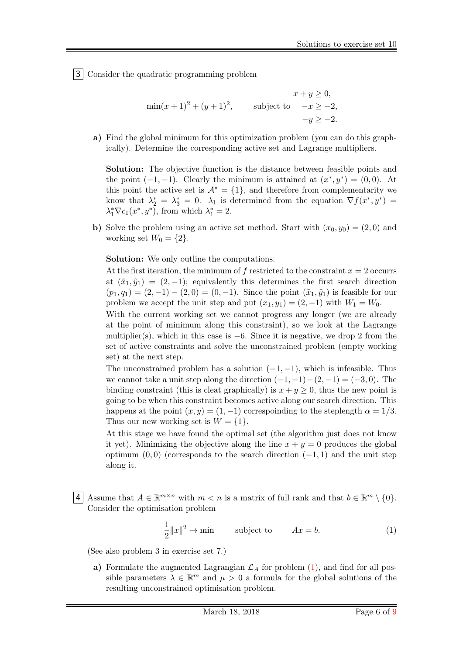3 Consider the quadratic programming problem

$$
x + y \ge 0,
$$
  
\n
$$
\min(x+1)^2 + (y+1)^2,
$$
 subject to 
$$
-x \ge -2,
$$
  
\n
$$
-y \ge -2.
$$

a) Find the global minimum for this optimization problem (you can do this graphically). Determine the corresponding active set and Lagrange multipliers.

Solution: The objective function is the distance between feasible points and the point  $(-1, -1)$ . Clearly the minimum is attained at  $(x^*, y^*) = (0, 0)$ . At this point the active set is  $\mathcal{A}^* = \{1\}$ , and therefore from complementarity we know that  $\lambda_2^* = \lambda_3^* = 0$ .  $\lambda_1$  is determined from the equation  $\nabla f(x^*, y^*) =$  $\lambda_1^* \nabla c_1(x^*, y^*)$ , from which  $\lambda_1^* = 2$ .

b) Solve the problem using an active set method. Start with  $(x_0, y_0) = (2, 0)$  and working set  $W_0 = \{2\}.$ 

Solution: We only outline the computations.

At the first iteration, the minimum of f restricted to the constraint  $x = 2$  occurrs at  $(\tilde{x}_1, \tilde{y}_1) = (2, -1)$ ; equivalently this determines the first search direction  $(p_1, q_1) = (2, -1) - (2, 0) = (0, -1)$ . Since the point  $(\tilde{x}_1, \tilde{y}_1)$  is feasible for our problem we accept the unit step and put  $(x_1, y_1) = (2, -1)$  with  $W_1 = W_0$ .

With the current working set we cannot progress any longer (we are already at the point of minimum along this constraint), so we look at the Lagrange multiplier(s), which in this case is  $-6$ . Since it is negative, we drop 2 from the set of active constraints and solve the unconstrained problem (empty working set) at the next step.

The unconstrained problem has a solution  $(-1, -1)$ , which is infeasible. Thus we cannot take a unit step along the direction  $(-1, -1) - (2, -1) = (-3, 0)$ . The binding constraint (this is cleat graphically) is  $x + y \geq 0$ , thus the new point is going to be when this constraint becomes active along our search direction. This happens at the point  $(x, y) = (1, -1)$  correspoinding to the steplength  $\alpha = 1/3$ . Thus our new working set is  $W = \{1\}.$ 

At this stage we have found the optimal set (the algorithm just does not know it yet). Minimizing the objective along the line  $x + y = 0$  produces the global optimum  $(0, 0)$  (corresponds to the search direction  $(-1, 1)$  and the unit step along it.

4 Assume that  $A \in \mathbb{R}^{m \times n}$  with  $m < n$  is a matrix of full rank and that  $b \in \mathbb{R}^m \setminus \{0\}.$ Consider the optimisation problem

$$
\frac{1}{2}||x||^2 \to \min \qquad \text{subject to} \qquad Ax = b. \tag{1}
$$

(See also problem 3 in exercise set 7.)

a) Formulate the augmented Lagrangian  $\mathcal{L}_A$  for problem [\(1\)](#page-1-1), and find for all possible parameters  $\lambda \in \mathbb{R}^m$  and  $\mu > 0$  a formula for the global solutions of the resulting unconstrained optimisation problem.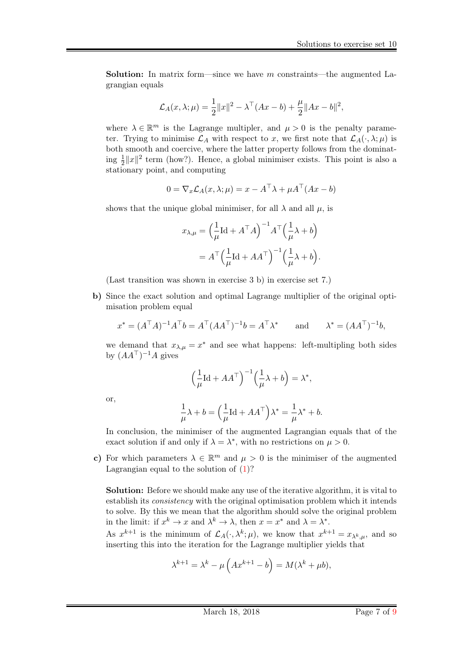**Solution:** In matrix form—since we have m constraints—the augmented Lagrangian equals

$$
\mathcal{L}_A(x,\lambda;\mu) = \frac{1}{2} ||x||^2 - \lambda^\top (Ax - b) + \frac{\mu}{2} ||Ax - b||^2,
$$

where  $\lambda \in \mathbb{R}^m$  is the Lagrange multipler, and  $\mu > 0$  is the penalty parameter. Trying to minimise  $\mathcal{L}_A$  with respect to x, we first note that  $\mathcal{L}_A(\cdot, \lambda; \mu)$  is both smooth and coercive, where the latter property follows from the dominating  $\frac{1}{2}||x||^2$  term (how?). Hence, a global minimiser exists. This point is also a stationary point, and computing

$$
0 = \nabla_x \mathcal{L}_A(x, \lambda; \mu) = x - A^\top \lambda + \mu A^\top (Ax - b)
$$

shows that the unique global minimiser, for all  $\lambda$  and all  $\mu$ , is

$$
x_{\lambda,\mu} = \left(\frac{1}{\mu}\text{Id} + A^{\top}A\right)^{-1}A^{\top}\left(\frac{1}{\mu}\lambda + b\right)
$$

$$
= A^{\top}\left(\frac{1}{\mu}\text{Id} + AA^{\top}\right)^{-1}\left(\frac{1}{\mu}\lambda + b\right).
$$

(Last transition was shown in exercise 3 b) in exercise set 7.)

b) Since the exact solution and optimal Lagrange multiplier of the original optimisation problem equal

$$
x^* = (A^{\top}A)^{-1}A^{\top}b = A^{\top}(AA^{\top})^{-1}b = A^{\top}\lambda^* \quad \text{and} \quad \lambda^* = (AA^{\top})^{-1}b,
$$

we demand that  $x_{\lambda,\mu} = x^*$  and see what happens: left-multipling both sides by  $(AA^\top)^{-1}A$  gives

$$
\left(\frac{1}{\mu}\text{Id} + AA^{\top}\right)^{-1}\left(\frac{1}{\mu}\lambda + b\right) = \lambda^*,
$$

or,

$$
\frac{1}{\mu}\lambda + b = \left(\frac{1}{\mu}\text{Id} + AA^{\top}\right)\lambda^* = \frac{1}{\mu}\lambda^* + b.
$$

In conclusion, the minimiser of the augmented Lagrangian equals that of the exact solution if and only if  $\lambda = \lambda^*$ , with no restrictions on  $\mu > 0$ .

c) For which parameters  $\lambda \in \mathbb{R}^m$  and  $\mu > 0$  is the minimiser of the augmented Lagrangian equal to the solution of  $(1)$ ?

Solution: Before we should make any use of the iterative algorithm, it is vital to establish its consistency with the original optimisation problem which it intends to solve. By this we mean that the algorithm should solve the original problem in the limit: if  $x^k \to x$  and  $\lambda^k \to \lambda$ , then  $x = x^*$  and  $\lambda = \lambda^*$ .

As  $x^{k+1}$  is the minimum of  $\mathcal{L}_A(\cdot, \lambda^k; \mu)$ , we know that  $x^{k+1} = x_{\lambda^k, \mu}$ , and so inserting this into the iteration for the Lagrange multiplier yields that

$$
\lambda^{k+1} = \lambda^k - \mu \left( Ax^{k+1} - b \right) = M(\lambda^k + \mu b),
$$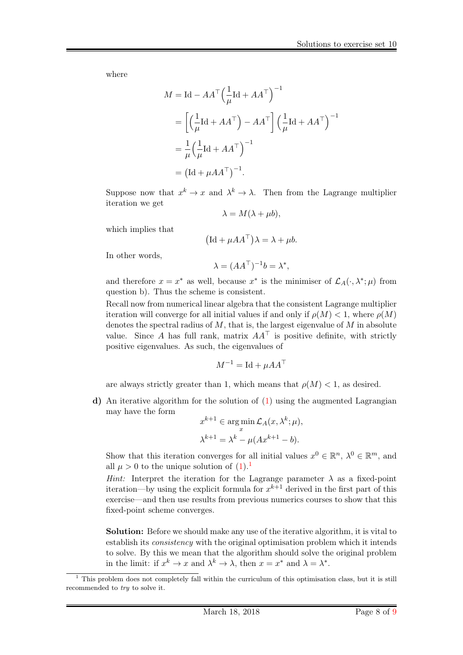where

$$
M = \text{Id} - AA^{\top} \left(\frac{1}{\mu} \text{Id} + AA^{\top}\right)^{-1}
$$
  
=  $\left[\left(\frac{1}{\mu} \text{Id} + AA^{\top}\right) - AA^{\top}\right] \left(\frac{1}{\mu} \text{Id} + AA^{\top}\right)^{-1}$   
=  $\frac{1}{\mu} \left(\frac{1}{\mu} \text{Id} + AA^{\top}\right)^{-1}$   
=  $(\text{Id} + \mu AA^{\top})^{-1}$ .

Suppose now that  $x^k \to x$  and  $\lambda^k \to \lambda$ . Then from the Lagrange multiplier iteration we get

$$
\lambda = M(\lambda + \mu b),
$$

which implies that

$$
(\mathrm{Id} + \mu A A^{\top}) \lambda = \lambda + \mu b.
$$

In other words,

$$
\lambda = (AA^{\top})^{-1}b = \lambda^*,
$$

and therefore  $x = x^*$  as well, because  $x^*$  is the minimiser of  $\mathcal{L}_A(\cdot, \lambda^*; \mu)$  from question b). Thus the scheme is consistent.

Recall now from numerical linear algebra that the consistent Lagrange multiplier iteration will converge for all initial values if and only if  $\rho(M) < 1$ , where  $\rho(M)$ denotes the spectral radius of  $M$ , that is, the largest eigenvalue of  $M$  in absolute value. Since A has full rank, matrix  $AA^{\dagger}$  is positive definite, with strictly positive eigenvalues. As such, the eigenvalues of

$$
M^{-1} = \text{Id} + \mu A A^{\top}
$$

are always strictly greater than 1, which means that  $\rho(M) < 1$ , as desired.

d) An iterative algorithm for the solution of [\(1\)](#page-1-1) using the augmented Lagrangian may have the form

$$
x^{k+1} \in \arg\min_{x} \mathcal{L}_A(x, \lambda^k; \mu),
$$
  

$$
\lambda^{k+1} = \lambda^k - \mu(Ax^{k+1} - b).
$$

Show that this iteration converges for all initial values  $x^0 \in \mathbb{R}^n$ ,  $\lambda^0 \in \mathbb{R}^m$ , and all  $\mu > 0$  to the unique solution of  $(1)$ .<sup>[1](#page-7-0)</sup>

Hint: Interpret the iteration for the Lagrange parameter  $\lambda$  as a fixed-point iteration—by using the explicit formula for  $x^{k+1}$  derived in the first part of this exercise—and then use results from previous numerics courses to show that this fixed-point scheme converges.

Solution: Before we should make any use of the iterative algorithm, it is vital to establish its consistency with the original optimisation problem which it intends to solve. By this we mean that the algorithm should solve the original problem in the limit: if  $x^k \to x$  and  $\lambda^k \to \lambda$ , then  $x = x^*$  and  $\lambda = \lambda^*$ .

<span id="page-7-0"></span> $1$ . This problem does not completely fall within the curriculum of this optimisation class, but it is still recommended to *try* to solve it.